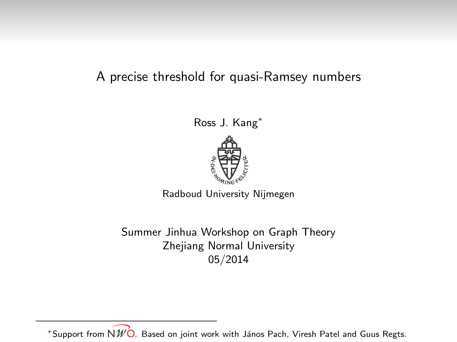#### A precise threshold for quasi-Ramsey numbers

Ross J. Kang<sup>∗</sup>



Radboud University Nijmegen

Summer Jinhua Workshop on Graph Theory Zhejiang Normal University 05/2014

\*Support from  $N\mathscr{W}\hat{\mathsf{O}}$ . Based on joint work with János Pach, Viresh Patel and Guus Regts.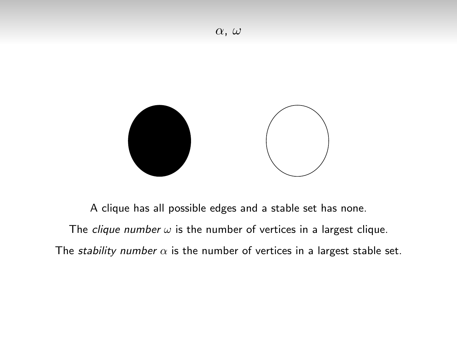

A clique has all possible edges and a stable set has none. The *clique number*  $\omega$  is the number of vertices in a largest clique. The stability number  $\alpha$  is the number of vertices in a largest stable set.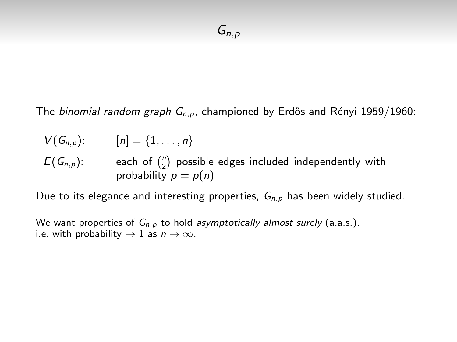The binomial random graph  $G_{n,p}$ , championed by Erdős and Rényi 1959/1960:

$$
V(G_{n,p}): [n] = \{1, ..., n\}
$$
  
\n
$$
E(G_{n,p}):
$$
 each of  $\binom{n}{2}$  possible edges included independently with  
\nprobability  $p = p(n)$ 

Due to its elegance and interesting properties,  $G_{n,p}$  has been widely studied.

We want properties of  $G_{n,p}$  to hold asymptotically almost surely (a.a.s.), i.e. with probability  $\rightarrow$  1 as  $n \rightarrow \infty$ .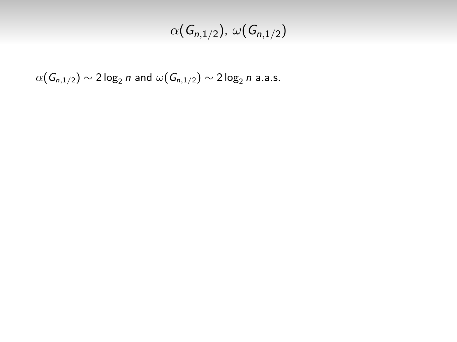## $\alpha(\mathsf{G}_{n,1/2})$ ,  $\omega(\mathsf{G}_{n,1/2})$

 $\alpha(\mathsf{G}_{n,1/2}) \sim 2 \log_2 n$  and  $\omega(\mathsf{G}_{n,1/2}) \sim 2 \log_2 n$  a.a.s.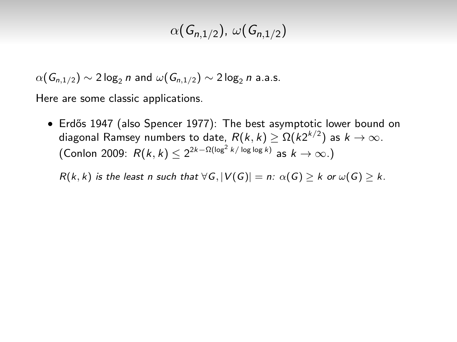## $\alpha(\mathsf{G}_{n,1/2})$ ,  $\omega(\mathsf{G}_{n,1/2})$

 $\alpha(G_{n,1/2}) \sim 2 \log_2 n$  and  $\omega(G_{n,1/2}) \sim 2 \log_2 n$  a.a.s.

Here are some classic applications.

• Erdős 1947 (also Spencer 1977): The best asymptotic lower bound on diagonal Ramsey numbers to date,  $R(k,k) \geq \Omega(k2^{k/2})$  as  $k \to \infty.$ (Conlon 2009:  $R(k, k) \leq 2^{2k-\Omega(\log^2 k/\log\log k)}$  as  $k \to \infty$ .)

 $R(k, k)$  is the least n such that  $\forall G, |V(G)| = n: \alpha(G) \geq k$  or  $\omega(G) \geq k$ .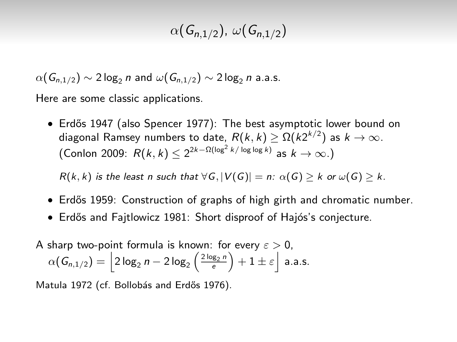## $\alpha(\mathsf{G}_{n,1/2})$ ,  $\omega(\mathsf{G}_{n,1/2})$

 $\alpha(G_{n,1/2}) \sim 2 \log_2 n$  and  $\omega(G_{n,1/2}) \sim 2 \log_2 n$  a.a.s.

Here are some classic applications.

• Erdős 1947 (also Spencer 1977): The best asymptotic lower bound on diagonal Ramsey numbers to date,  $R(k,k) \geq \Omega(k2^{k/2})$  as  $k \to \infty.$ (Conlon 2009:  $R(k, k) \leq 2^{2k-\Omega(\log^2 k/\log\log k)}$  as  $k \to \infty$ .)

 $R(k, k)$  is the least n such that  $\forall G, |V(G)| = n: \alpha(G) > k$  or  $\omega(G) > k$ .

- Erdős 1959: Construction of graphs of high girth and chromatic number.
- Erdős and Fajtlowicz 1981: Short disproof of Hajós's conjecture.

A sharp two-point formula is known: for every 
$$
\varepsilon > 0
$$
,  
\n
$$
\alpha(G_{n,1/2}) = \left\lfloor 2\log_2 n - 2\log_2 \left(\frac{2\log_2 n}{e}\right) + 1 \pm \varepsilon \right\rfloor \text{ a.a.s.}
$$

Matula 1972 (cf. Bollobás and Erdős 1976).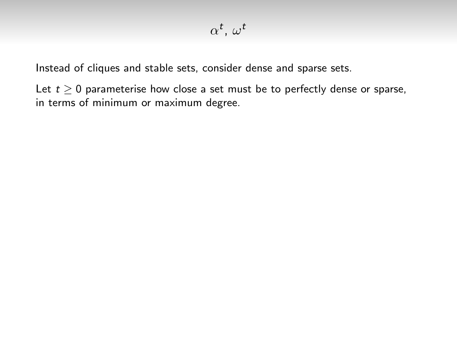Instead of cliques and stable sets, consider dense and sparse sets.

Let  $t > 0$  parameterise how close a set must be to perfectly dense or sparse, in terms of minimum or maximum degree.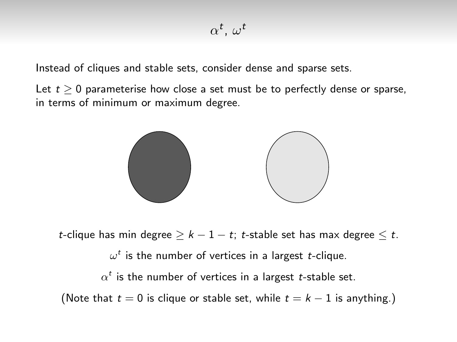Instead of cliques and stable sets, consider dense and sparse sets.

Let  $t > 0$  parameterise how close a set must be to perfectly dense or sparse, in terms of minimum or maximum degree.



t-clique has min degree  $\geq k - 1 - t$ ; t-stable set has max degree  $\leq t$ .

 $\omega^t$  is the number of vertices in a largest  $t$ -clique.

 $\alpha^t$  is the number of vertices in a largest t-stable set.

(Note that  $t = 0$  is clique or stable set, while  $t = k - 1$  is anything.)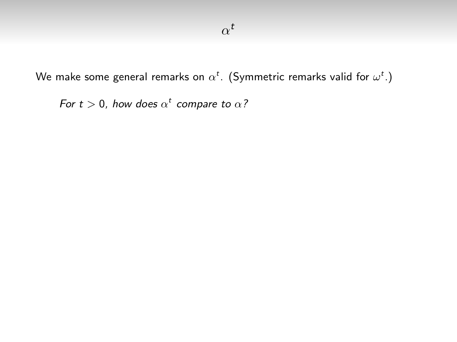We make some general remarks on  $\alpha^t.$  (Symmetric remarks valid for  $\omega^t.$  )

For  $t > 0$ , how does  $\alpha^t$  compare to  $\alpha$ ?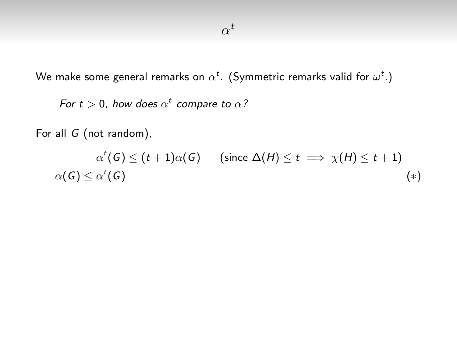We make some general remarks on  $\alpha^t.$  (Symmetric remarks valid for  $\omega^t.$  )

For  $t > 0$ , how does  $\alpha^t$  compare to  $\alpha$ ?

For all G (not random),

 $\alpha^t(G) \le (t+1)\alpha(G)$  (since  $\Delta(H) \le t \implies \chi(H) \le t+1$ )  $\alpha(\mathsf{G}) \leq \alpha^t$  $(\mathsf{G})$  (\*)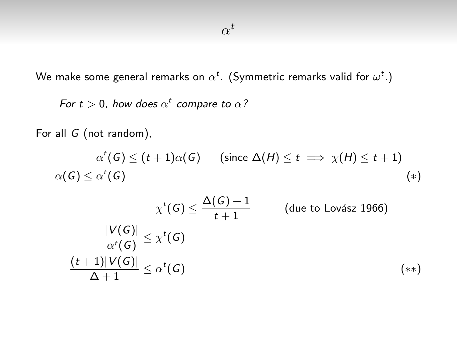We make some general remarks on  $\alpha^t.$  (Symmetric remarks valid for  $\omega^t.$  )

For  $t > 0$ , how does  $\alpha^t$  compare to  $\alpha$ ?

For all G (not random),

 $\alpha^t(G) \le (t+1)\alpha(G)$  (since  $\Delta(H) \le t \implies \chi(H) \le t+1$ )  $\alpha(\mathsf{G}) \leq \alpha^t$  $(\mathsf{G})$  (\*)

$$
\chi^t(G) \le \frac{\Delta(G) + 1}{t + 1} \qquad \text{(due to Lovász 1966)}
$$
\n
$$
\frac{|V(G)|}{\alpha^t(G)} \le \chi^t(G)
$$
\n
$$
\frac{(t + 1)|V(G)|}{\Delta + 1} \le \alpha^t(G) \qquad (*)
$$
\n
$$
(*)
$$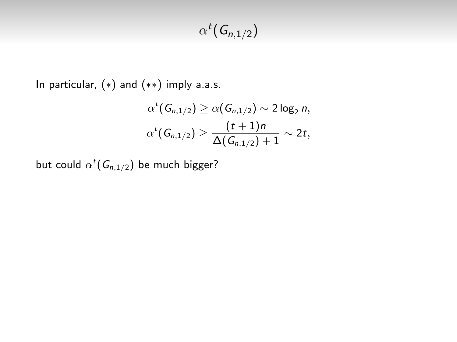## $\alpha^t(G_{n,1/2})$

In particular, (∗) and (∗∗) imply a.a.s.

$$
\alpha^t(G_{n,1/2}) \geq \alpha(G_{n,1/2}) \sim 2\log_2 n,
$$
  

$$
\alpha^t(G_{n,1/2}) \geq \frac{(t+1)n}{\Delta(G_{n,1/2})+1} \sim 2t,
$$

but could  $\alpha^t(\mathsf{G}_{n,1/2})$  be much bigger?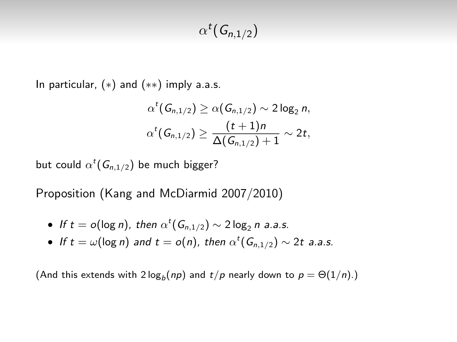## $\alpha^t(G_{n,1/2})$

In particular,  $(*)$  and  $(**)$  imply a.a.s.

$$
\alpha^{t}(G_{n,1/2}) \geq \alpha(G_{n,1/2}) \sim 2\log_2 n,
$$
  

$$
\alpha^{t}(G_{n,1/2}) \geq \frac{(t+1)n}{\Delta(G_{n,1/2})+1} \sim 2t,
$$

but could  $\alpha^t(\mathsf{G}_{n,1/2})$  be much bigger?

Proposition (Kang and McDiarmid 2007/2010)

- If  $t = o(\log n)$ , then  $\alpha^t(G_{n,1/2}) \sim 2\log_2 n$  a.a.s.
- If  $t = \omega(\log n)$  and  $t = o(n)$ , then  $\alpha^t(G_{n,1/2}) \sim 2t$  a.a.s.

(And this extends with 2  $\log_b(np)$  and  $t/p$  nearly down to  $p = \Theta(1/n)$ .)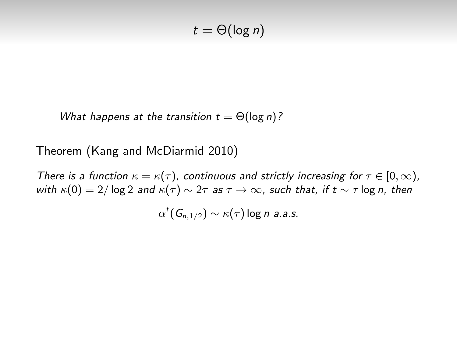$$
t = \Theta(\log n)
$$

What happens at the transition  $t = \Theta(\log n)$ ?

Theorem (Kang and McDiarmid 2010)

There is a function  $\kappa = \kappa(\tau)$ , continuous and strictly increasing for  $\tau \in [0, \infty)$ , with  $\kappa(0) = 2/\log 2$  and  $\kappa(\tau) \sim 2\tau$  as  $\tau \to \infty$ , such that, if  $t \sim \tau \log n$ , then

 $\alpha^t({\sf G}_{n,1/2}) \sim \kappa(\tau)$  log n a.a.s.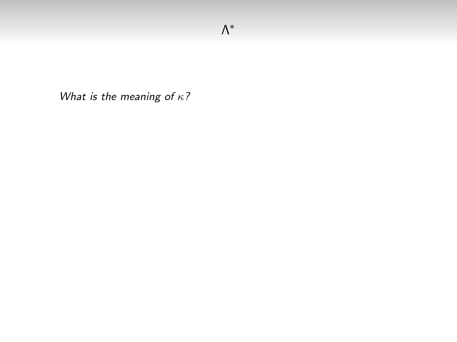What is the meaning of  $\kappa$ ?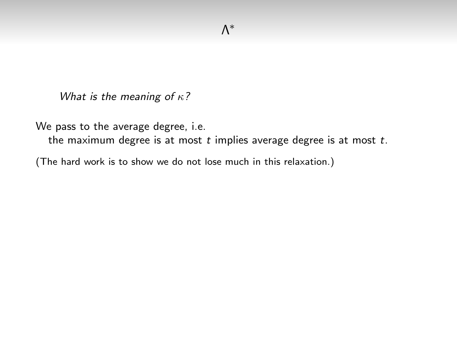What is the meaning of  $\kappa$ ?

We pass to the average degree, i.e.

the maximum degree is at most  $t$  implies average degree is at most  $t$ .

(The hard work is to show we do not lose much in this relaxation.)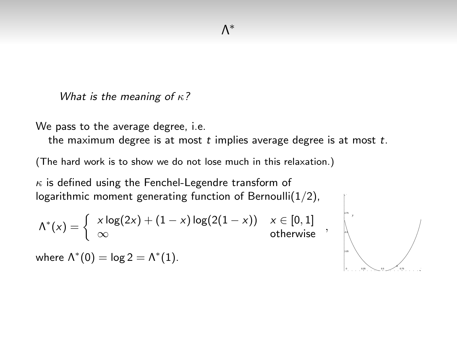What is the meaning of  $\kappa$ ?

We pass to the average degree, i.e.

the maximum degree is at most  $t$  implies average degree is at most  $t$ .

(The hard work is to show we do not lose much in this relaxation.)

 $\kappa$  is defined using the Fenchel-Legendre transform of logarithmic moment generating function of Bernoulli $(1/2)$ ,

$$
\Lambda^*(x) = \left\{ \begin{array}{ll} x \log(2x) + (1-x) \log(2(1-x)) & x \in [0,1] \\ \infty & \text{otherwise} \end{array} \right.,
$$

where  $\Lambda^*(0) = \log 2 = \Lambda^*(1)$ .

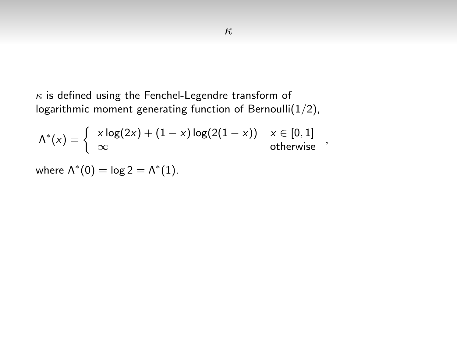$\kappa$  is defined using the Fenchel-Legendre transform of logarithmic moment generating function of Bernoulli $(1/2)$ ,

$$
\Lambda^*(x) = \left\{ \begin{array}{ll} x \log(2x) + (1-x) \log(2(1-x)) & x \in [0,1] \\ \infty & \text{otherwise} \end{array} \right.,
$$

where  $\Lambda^*(0) = \log 2 = \Lambda^*(1)$ .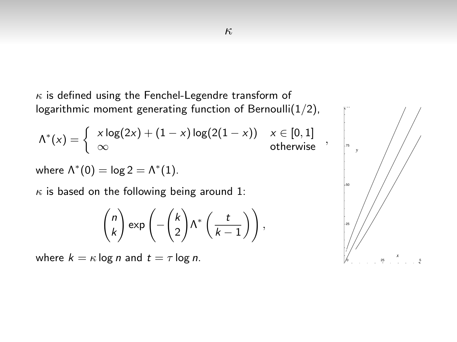$\kappa$  is defined using the Fenchel-Legendre transform of logarithmic moment generating function of Bernoulli $(1/2)$ ,

$$
\Lambda^*(x) = \left\{ \begin{array}{ll} x \log(2x) + (1-x) \log(2(1-x)) & x \in [0,1] \\ \infty & \text{otherwise} \end{array} \right.,
$$

where  $\Lambda^*(0) = \log 2 = \Lambda^*(1)$ .

 $\kappa$  is based on the following being around 1:

$$
\binom{n}{k} \exp\left(-\binom{k}{2} \Lambda^* \left(\frac{t}{k-1}\right)\right),\,
$$

where  $k = \kappa \log n$  and  $t = \tau \log n$ .

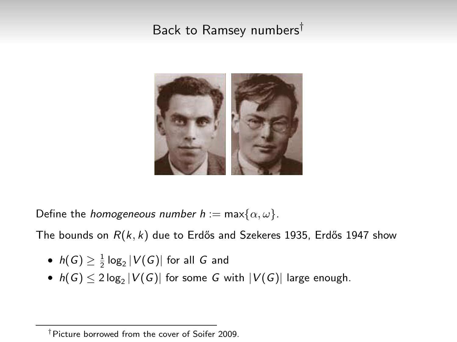### Back to Ramsey numbers†



Define the *homogeneous number*  $h := \max\{\alpha, \omega\}.$ 

The bounds on  $R(k, k)$  due to Erdős and Szekeres 1935, Erdős 1947 show

- $\bullet~~h(\mathsf{G})\geq \frac{1}{2}\log_2|\mathcal{V}(\mathsf{G})|$  for all  $\mathsf{G}% (\mathsf{G})=\mathsf{G}(\mathsf{G})$  and
- $\bullet~~h(\mathsf{G})\le 2\log_2|V(\mathsf{G})|$  for some  $\mathsf{G}% _{k}(G)$  with  $|V(\mathsf{G})|$  large enough.

<sup>†</sup>Picture borrowed from the cover of Soifer 2009.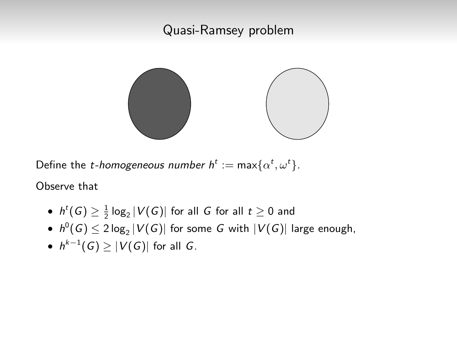#### Quasi-Ramsey problem



Define the *t-homogeneous number*  $h^t := \max\{\alpha^t, \omega^t\}.$ 

Observe that

- $h^t(G) \geq \frac{1}{2} \log_2 |V(G)|$  for all  $G$  for all  $t \geq 0$  and
- $\bullet~~h^0(\mathsf{G})\le 2\log_2|V(\mathsf{G})|$  for some  $G$  with  $|V(\mathsf{G})|$  large enough,
- $\bullet~~h^{k-1}(G)\geq |V(G)|$  for all  $G.$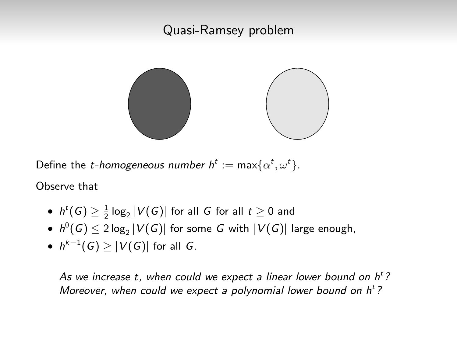#### Quasi-Ramsey problem



Define the *t-homogeneous number*  $h^t := \max\{\alpha^t, \omega^t\}.$ 

Observe that

- $h^t(G) \geq \frac{1}{2} \log_2 |V(G)|$  for all  $G$  for all  $t \geq 0$  and
- $\bullet~~h^0(\mathsf{G})\le 2\log_2|V(\mathsf{G})|$  for some  $G$  with  $|V(\mathsf{G})|$  large enough,
- $\bullet~~h^{k-1}(G)\geq |V(G)|$  for all  $G.$

As we increase t, when could we expect a linear lower bound on  $h^t$ ? Moreover, when could we expect a polynomial lower bound on  $h<sup>t</sup>$ ?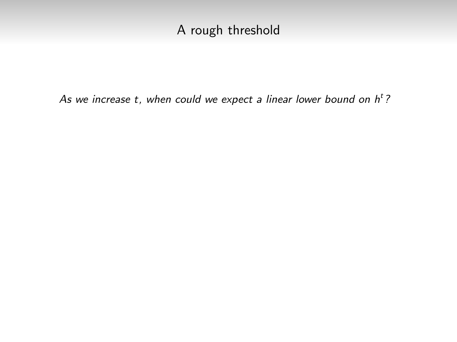### A rough threshold

As we increase t, when could we expect a linear lower bound on  $h^t$ ?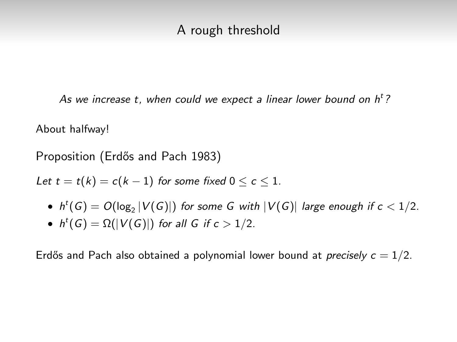#### A rough threshold

As we increase t, when could we expect a linear lower bound on  $h^t$ ?

About halfway!

Proposition (Erdős and Pach 1983)

Let  $t = t(k) = c(k-1)$  for some fixed  $0 \le c \le 1$ .

- $\bullet\;$  h<sup>t</sup>(G)  $=$  O(log<sub>2</sub> |V(G)|) for some G with  $|V(G)|$  large enough if  $c< 1/2$ .
- $h^t(G) = \Omega(|V(G)|)$  for all G if  $c > 1/2$ .

Erdős and Pach also obtained a polynomial lower bound at *precisely*  $c = 1/2$ .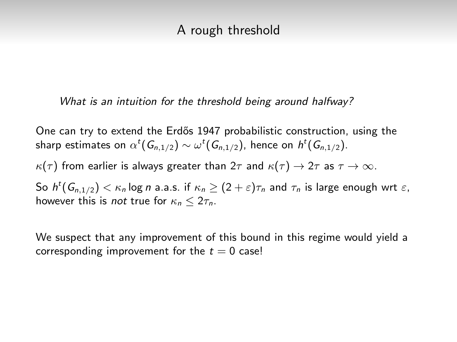#### A rough threshold

#### What is an intuition for the threshold being around halfway?

One can try to extend the Erdős 1947 probabilistic construction, using the sharp estimates on  $\alpha^t(\mathsf{G}_{n,1/2})\sim \omega^t(\mathsf{G}_{n,1/2})$ , hence on  $\mathsf{h}^t(\mathsf{G}_{n,1/2})$ .

 $\kappa(\tau)$  from earlier is always greater than  $2\tau$  and  $\kappa(\tau) \to 2\tau$  as  $\tau \to \infty$ .

So  $h^t(G_{n,1/2})<\kappa_n$  log  $n$  a.a.s. if  $\kappa_n\geq (2+\varepsilon)\tau_n$  and  $\tau_n$  is large enough wrt  $\varepsilon,$ however this is *not* true for  $\kappa_n < 2\tau_n$ .

We suspect that any improvement of this bound in this regime would yield a corresponding improvement for the  $t = 0$  case!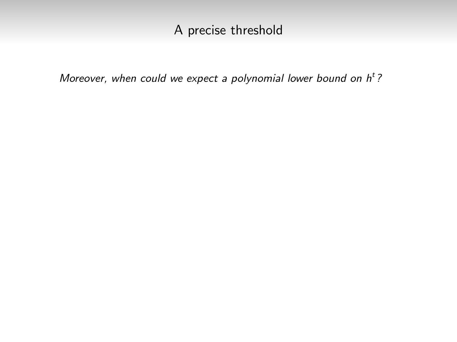Moreover, when could we expect a polynomial lower bound on  $h<sup>t</sup>$ ?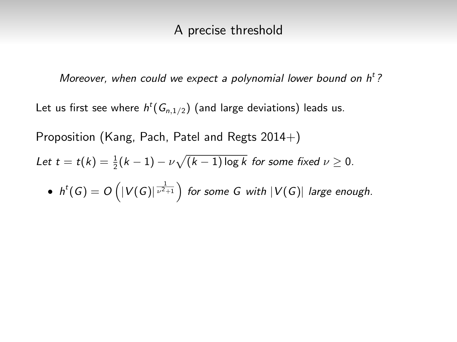Moreover, when could we expect a polynomial lower bound on  $h<sup>t</sup>$ ?

Let us first see where  $h^t(G_{n,1/2})$  (and large deviations) leads us.

Proposition (Kang, Pach, Patel and Regts 2014+)

Let 
$$
t = t(k) = \frac{1}{2}(k-1) - \nu \sqrt{(k-1) \log k}
$$
 for some fixed  $\nu \ge 0$ .

• 
$$
h^t(G) = O\left(|V(G)|^{\frac{1}{\nu^2+1}}\right)
$$
 for some G with  $|V(G)|$  large enough.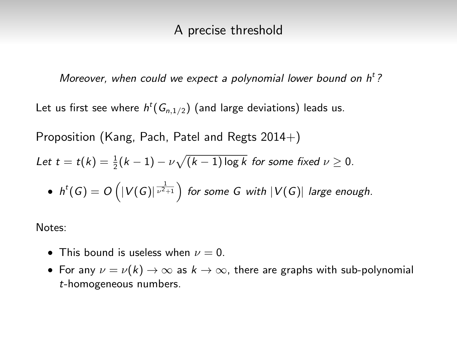Moreover, when could we expect a polynomial lower bound on  $h<sup>t</sup>$ ?

Let us first see where  $h^t(G_{n,1/2})$  (and large deviations) leads us.

Proposition (Kang, Pach, Patel and Regts  $2014+$ )

Let 
$$
t = t(k) = \frac{1}{2}(k-1) - \nu \sqrt{(k-1) \log k}
$$
 for some fixed  $\nu \ge 0$ .

• 
$$
h^t(G) = O\left(|V(G)|^{\frac{1}{\nu^2+1}}\right)
$$
 for some G with  $|V(G)|$  large enough.

Notes:

- This bound is useless when  $\nu = 0$ .
- For any  $\nu = \nu(k) \rightarrow \infty$  as  $k \rightarrow \infty$ , there are graphs with sub-polynomial t-homogeneous numbers.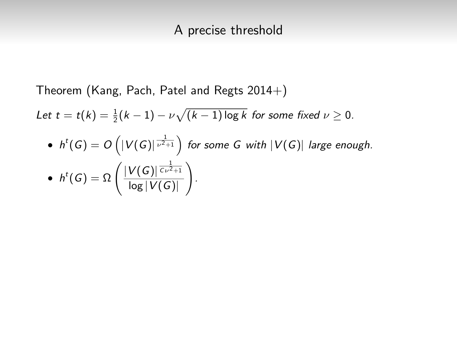Theorem (Kang, Pach, Patel and Regts 2014+)

Let  $t = t(k) = \frac{1}{2}(k-1) - \nu \sqrt{(k-1) \log k}$  for some fixed  $\nu \geq 0$ .

\n- $$
h^t(G) = O\left(|V(G)|^{\frac{1}{\nu^2+1}}\right)
$$
 for some  $G$  with  $|V(G)|$  large enough.
\n- $h^t(G) = \Omega\left(\frac{|V(G)|^{\frac{1}{C\nu^2+1}}}{\log|V(G)|}\right)$ .
\n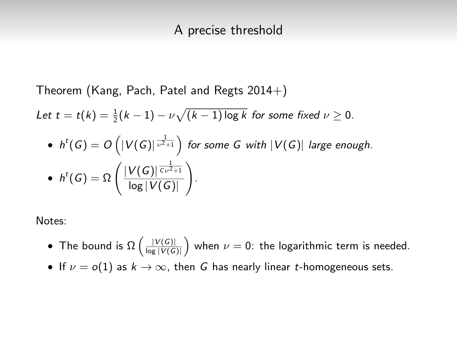Theorem (Kang, Pach, Patel and Regts 2014+)

Let  $t = t(k) = \frac{1}{2}(k-1) - \nu \sqrt{(k-1) \log k}$  for some fixed  $\nu \geq 0$ .

\n- $$
h^t(G) = O\left(|V(G)|^{\frac{1}{\nu^2+1}}\right)
$$
 for some  $G$  with  $|V(G)|$  large enough.
\n- $h^t(G) = \Omega\left(\frac{|V(G)|^{\frac{1}{C\nu^2+1}}}{\log|V(G)|}\right)$ .
\n

Notes:

- The bound is  $\Omega\left(\frac{|V(G)|}{\log |V(G)|}\right)$  when  $\nu=0$ : the logarithmic term is needed.
- If  $\nu = o(1)$  as  $k \to \infty$ , then G has nearly linear t-homogeneous sets.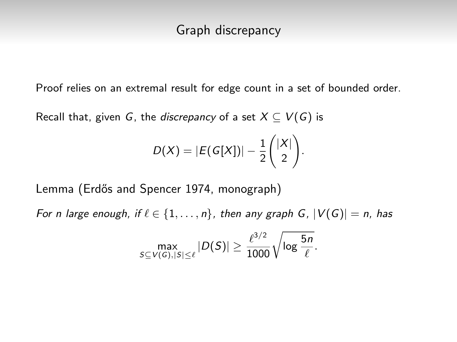Proof relies on an extremal result for edge count in a set of bounded order.

Recall that, given G, the discrepancy of a set  $X \subseteq V(G)$  is

$$
D(X) = |E(G[X])| - \frac{1}{2} \binom{|X|}{2}.
$$

Lemma (Erdős and Spencer 1974, monograph)

For n large enough, if  $\ell \in \{1, \ldots, n\}$ , then any graph G,  $|V(G)| = n$ , has

$$
\max_{S \subseteq V(G), |S| \leq \ell} |D(S)| \geq \frac{\ell^{3/2}}{1000} \sqrt{\log \frac{5n}{\ell}}.
$$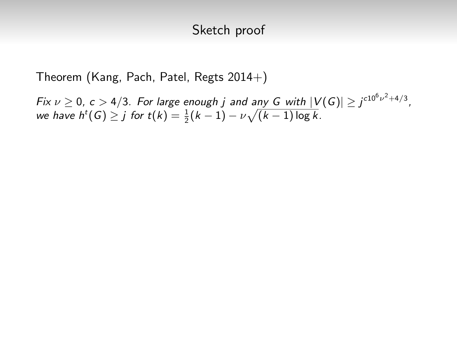#### Sketch proof

Theorem (Kang, Pach, Patel, Regts 2014+)

Fix  $\nu \geq 0$ ,  $c > 4/3$ . For large enough j and any G with  $|V(G)| \geq j^{c10^6 \nu^2 + 4/3}$ , we have  $h^t(G) \geq j$  for  $t(k) = \frac{1}{2}(k-1) - \nu \sqrt{(k-1)\log k}$ .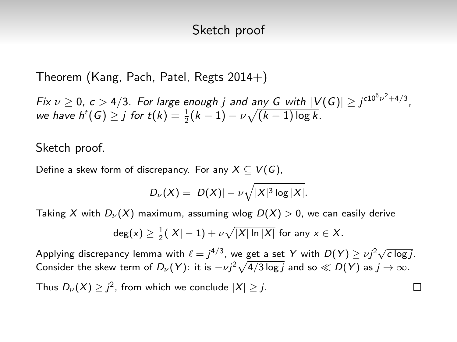#### Sketch proof

Theorem (Kang, Pach, Patel, Regts  $2014+$ )

Fix  $\nu \geq 0$ ,  $c > 4/3$ . For large enough j and any G with  $|V(G)| \geq j^{c10^6 \nu^2 + 4/3}$ , we have  $h^t(G) \geq j$  for  $t(k) = \frac{1}{2}(k-1) - \nu \sqrt{(k-1)\log k}$ .

Sketch proof.

Define a skew form of discrepancy. For any  $X \subseteq V(G)$ ,

$$
D_{\nu}(X)=|D(X)|-\nu\sqrt{|X|^3\log|X|}.
$$

Taking X with  $D_{\nu}(X)$  maximum, assuming wlog  $D(X) > 0$ , we can easily derive

$$
\deg(x) \geq \frac{1}{2}(|X|-1) + \nu \sqrt{|X| \ln |X|}
$$
 for any  $x \in X$ .

Applying discrepancy lemma with  $\ell = j^{4/3}$ , we get a set Y with  $D(Y) \geq \nu j^2 \sqrt{c \log j}$ . Consider the skew term of  $D_\nu(Y)$ : it is  $-\nu j^2\sqrt{4/3\log j}$  and so  $\ll D(Y)$  as  $j\to\infty.$ 

П

Thus  $D_\nu(X)\geq j^2$ , from which we conclude  $|X|\geq j$ .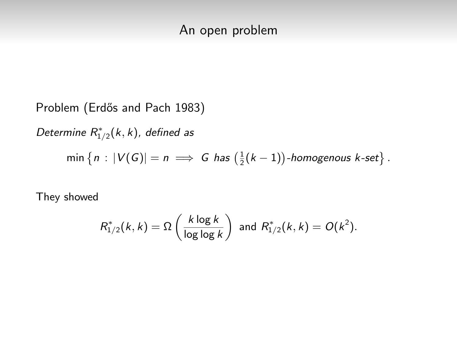Problem (Erdős and Pach 1983) Determine  $R^*_{1/2}(k, k)$ , defined as  $\min\left\{n: |V(G)| = n \implies G \text{ has } \left(\frac{1}{2}(k-1)\right) \text{-homogenous } k\text{-set}\right\}.$ 

They showed

$$
R_{1/2}^*(k,k) = \Omega\left(\frac{k \log k}{\log \log k}\right) \text{ and } R_{1/2}^*(k,k) = O(k^2).
$$